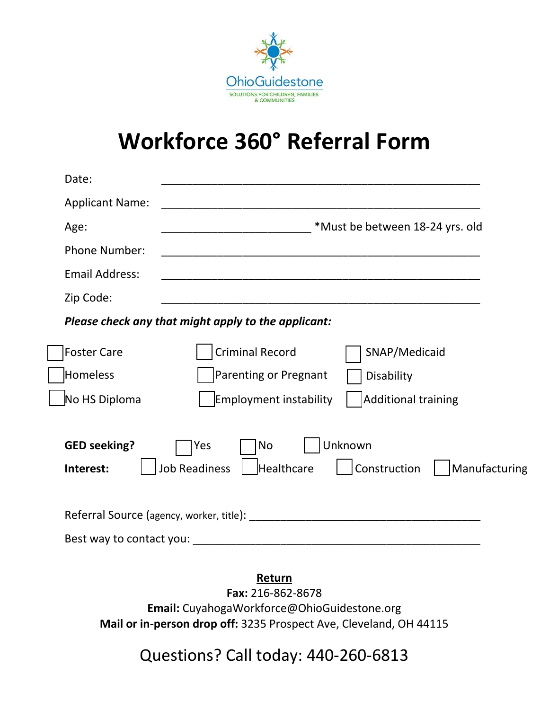

# **Workforce 360° Referral Form**

| Date:                            |                                                                                                    |
|----------------------------------|----------------------------------------------------------------------------------------------------|
| <b>Applicant Name:</b>           | <u> 1980 - Jan Barnett, fransk politiker (d. 1980)</u>                                             |
| Age:                             | *Must be between 18-24 yrs. old                                                                    |
| <b>Phone Number:</b>             |                                                                                                    |
| <b>Email Address:</b>            |                                                                                                    |
| Zip Code:                        |                                                                                                    |
|                                  | Please check any that might apply to the applicant:                                                |
| <b>Foster Care</b>               | <b>Criminal Record</b><br>SNAP/Medicaid                                                            |
| Homeless                         | Parenting or Pregnant<br>Disability                                                                |
| No HS Diploma                    | <b>Additional training</b><br>Employment instability                                               |
| <b>GED seeking?</b><br>Interest: | Unknown<br><b>No</b><br>Yes<br><b>Job Readiness</b><br>Healthcare<br>Construction<br>Manufacturing |
|                                  |                                                                                                    |
|                                  |                                                                                                    |

**Fax:** 216-862-8678 **Email:** CuyahogaWorkforce@OhioGuidestone.org **Mail or in-person drop off:** 3235 Prospect Ave, Cleveland, OH 44115

Questions? Call today: 440-260-6813